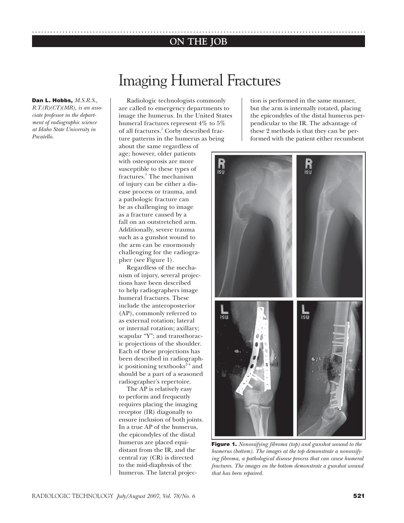# **ON THE JOB** ..............................................................................................................

# Imaging Humeral Fractures

**Dan L. Hobbs,** *M.S.R.S., R.T.(R)(CT)(MR), is an associate professor in the department of radiographic science at Idaho State University in Pocatello.*

Radiologic technologists commonly are called to emergency departments to image the humerus. In the United States humeral fractures represent 4% to 5% of all fractures.<sup>1</sup> Corby described fracture patterns in the humerus as being

about the same regardless of age; however, older patients with osteoporosis are more susceptible to these types of fractures.<sup>1</sup> The mechanism of injury can be either a disease process or trauma, and a pathologic fracture can be as challenging to image as a fracture caused by a fall on an outstretched arm. Additionally, severe trauma such as a gunshot wound to the arm can be enormously challenging for the radiographer (see Figure 1).

Regardless of the mechanism of injury, several projections have been described to help radiographers image humeral fractures. These include the anteroposterior (AP), commonly referred to as external rotation; lateral or internal rotation; axillary; scapular "Y"; and transthoracic projections of the shoulder. Each of these projections has been described in radiographic positioning textbooks $2-4$  and should be a part of a seasoned radiographer's repertoire.

The AP is relatively easy to perform and frequently requires placing the imaging receptor (IR) diagonally to ensure inclusion of both joints. In a true AP of the humerus, the epicondyles of the distal humerus are placed equidistant from the IR, and the central ray (CR) is directed to the mid-diaphysis of the humerus. The lateral projection is performed in the same manner, but the arm is internally rotated, placing the epicondyles of the distal humerus perpendicular to the IR. The advantage of these 2 methods is that they can be performed with the patient either recumbent



**Figure 1.** *Nonossifying fibroma (top) and gunshot wound to the humerus (bottom). The images at the top demonstrate a nonossifying fibroma, a pathological disease process that can cause humeral fractures. The images on the bottom demonstrate a gunshot wound that has been repaired.*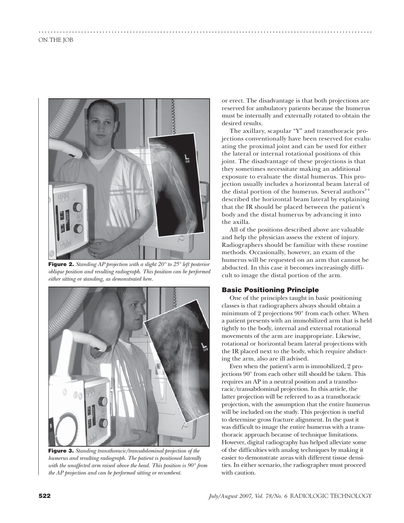

**Figure 2.** *Standing AP projection with a slight 20° to 25° left posterior oblique position and resulting radiograph. This position can be performed either sitting or standing, as demonstrated here.* 



**Figure 3.** *Standing transthoracic/transabdominal projection of the humerus and resulting radiograph. The patient is positioned laterally with the unaffected arm raised above the head. This position is 90° from the AP projection and can be performed sitting or recumbent.*

or erect. The disadvantage is that both projections are reserved for ambulatory patients because the humerus must be internally and externally rotated to obtain the desired results.

..............................................................................................................

The axillary, scapular "Y" and transthoracic projections conventionally have been reserved for evaluating the proximal joint and can be used for either the lateral or internal rotational positions of this joint. The disadvantage of these projections is that they sometimes necessitate making an additional exposure to evaluate the distal humerus. This projection usually includes a horizontal beam lateral of the distal portion of the humerus. Several authors $24$ described the horizontal beam lateral by explaining that the IR should be placed between the patient's body and the distal humerus by advancing it into the axilla.

All of the positions described above are valuable and help the physician assess the extent of injury. Radiographers should be familiar with these routine methods. Occasionally, however, an exam of the humerus will be requested on an arm that cannot be abducted. In this case it becomes increasingly difficult to image the distal portion of the arm.

## **Basic Positioning Principle**

One of the principles taught in basic positioning classes is that radiographers always should obtain a minimum of 2 projections 90° from each other. When a patient presents with an immobilized arm that is held tightly to the body, internal and external rotational movements of the arm are inappropriate. Likewise, rotational or horizontal beam lateral projections with the IR placed next to the body, which require abducting the arm, also are ill advised.

Even when the patient's arm is immobilized, 2 projections 90° from each other still should be taken. This requires an AP in a neutral position and a transthoracic/transabdominal projection. In this article, the latter projection will be referred to as a transthoracic projection, with the assumption that the entire humerus will be included on the study. This projection is useful to determine gross fracture alignment. In the past it was difficult to image the entire humerus with a transthoracic approach because of technique limitations. However, digital radiography has helped alleviate some of the difficulties with analog techniques by making it easier to demonstrate areas with different tissue densities. In either scenario, the radiographer must proceed with caution.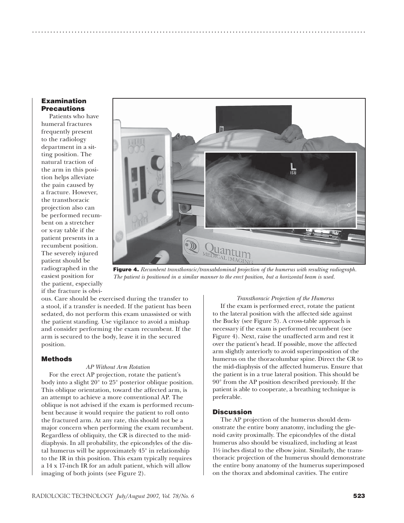#### **Examination Precautions**

Patients who have humeral fractures frequently present to the radiology department in a sitting position. The natural traction of the arm in this position helps alleviate the pain caused by a fracture. However, the transthoracic projection also can be performed recumbent on a stretcher or x-ray table if the patient presents in a recumbent position. The severely injured patient should be radiographed in the easiest position for the patient, especially if the fracture is obvi-



..............................................................................................................

**Figure 4.** *Recumbent transthoracic/transabdominal projection of the humerus with resulting radiograph. The patient is positioned in a similar manner to the erect position, but a horizontal beam is used.* 

ous. Care should be exercised during the transfer to a stool, if a transfer is needed. If the patient has been sedated, do not perform this exam unassisted or with the patient standing. Use vigilance to avoid a mishap and consider performing the exam recumbent. If the arm is secured to the body, leave it in the secured position.

## **Methods**

#### *AP Without Arm Rotation*

For the erect AP projection, rotate the patient's body into a slight 20° to 25° posterior oblique position. This oblique orientation, toward the affected arm, is an attempt to achieve a more conventional AP. The oblique is not advised if the exam is performed recumbent because it would require the patient to roll onto the fractured arm. At any rate, this should not be a major concern when performing the exam recumbent. Regardless of obliquity, the CR is directed to the middiaphysis. In all probability, the epicondyles of the distal humerus will be approximately 45° in relationship to the IR in this position. This exam typically requires a 14 x 17-inch IR for an adult patient, which will allow imaging of both joints (see Figure 2).

#### *Transthoracic Projection of the Humerus*

If the exam is performed erect, rotate the patient to the lateral position with the affected side against the Bucky (see Figure 3). A cross-table approach is necessary if the exam is performed recumbent (see Figure 4). Next, raise the unaffected arm and rest it over the patient's head. If possible, move the affected arm slightly anteriorly to avoid superimposition of the humerus on the thoracolumbar spine. Direct the CR to the mid-diaphysis of the affected humerus. Ensure that the patient is in a true lateral position. This should be 90° from the AP position described previously. If the patient is able to cooperate, a breathing technique is preferable.

#### **Discussion**

The AP projection of the humerus should demonstrate the entire bony anatomy, including the glenoid cavity proximally. The epicondyles of the distal humerus also should be visualized, including at least 1½ inches distal to the elbow joint. Similarly, the transthoracic projection of the humerus should demonstrate the entire bony anatomy of the humerus superimposed on the thorax and abdominal cavities. The entire